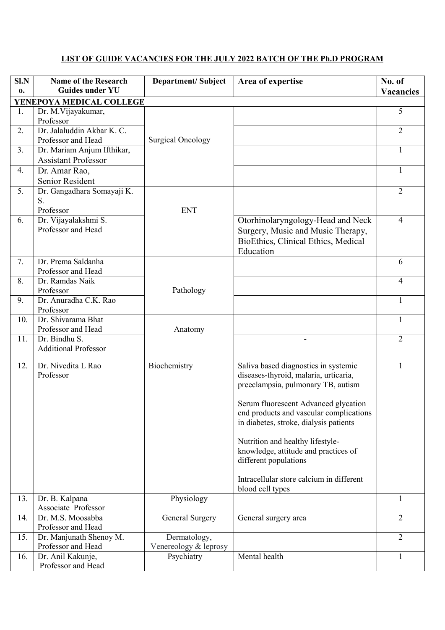## **LIST OF GUIDE VACANCIES FOR THE JULY 2022 BATCH OF THE Ph.D PROGRAM**

| S <sub>1</sub> N | <b>Name of the Research</b>                      | <b>Department/Subject</b>             | Area of expertise                                                                                                                                                                                                                                                                                                                                                                                 | No. of           |
|------------------|--------------------------------------------------|---------------------------------------|---------------------------------------------------------------------------------------------------------------------------------------------------------------------------------------------------------------------------------------------------------------------------------------------------------------------------------------------------------------------------------------------------|------------------|
| 0.               | <b>Guides under YU</b>                           |                                       |                                                                                                                                                                                                                                                                                                                                                                                                   | <b>Vacancies</b> |
|                  | YENEPOYA MEDICAL COLLEGE                         |                                       |                                                                                                                                                                                                                                                                                                                                                                                                   |                  |
| 1.               | Dr. M. Vijayakumar,<br>Professor                 |                                       |                                                                                                                                                                                                                                                                                                                                                                                                   | 5                |
| 2.               | Dr. Jalaluddin Akbar K. C.<br>Professor and Head | <b>Surgical Oncology</b>              |                                                                                                                                                                                                                                                                                                                                                                                                   | $\overline{2}$   |
| 3.               | Dr. Mariam Anjum Ifthikar,                       |                                       |                                                                                                                                                                                                                                                                                                                                                                                                   | 1                |
|                  | <b>Assistant Professor</b>                       |                                       |                                                                                                                                                                                                                                                                                                                                                                                                   |                  |
| 4.               | Dr. Amar Rao,<br>Senior Resident                 |                                       |                                                                                                                                                                                                                                                                                                                                                                                                   | 1                |
| 5.               | Dr. Gangadhara Somayaji K.<br>S.<br>Professor    | <b>ENT</b>                            |                                                                                                                                                                                                                                                                                                                                                                                                   | $\overline{2}$   |
| 6.               | Dr. Vijayalakshmi S.<br>Professor and Head       |                                       | Otorhinolaryngology-Head and Neck<br>Surgery, Music and Music Therapy,<br>BioEthics, Clinical Ethics, Medical<br>Education                                                                                                                                                                                                                                                                        | 4                |
| 7.               | Dr. Prema Saldanha<br>Professor and Head         |                                       |                                                                                                                                                                                                                                                                                                                                                                                                   | 6                |
| 8.               | Dr. Ramdas Naik<br>Professor                     | Pathology                             |                                                                                                                                                                                                                                                                                                                                                                                                   | 4                |
| 9.               | Dr. Anuradha C.K. Rao<br>Professor               |                                       |                                                                                                                                                                                                                                                                                                                                                                                                   | $\mathbf{1}$     |
| 10.              | Dr. Shivarama Bhat<br>Professor and Head         | Anatomy                               |                                                                                                                                                                                                                                                                                                                                                                                                   | 1                |
| 11.              | Dr. Bindhu S.<br><b>Additional Professor</b>     |                                       |                                                                                                                                                                                                                                                                                                                                                                                                   | $\overline{2}$   |
|                  |                                                  |                                       |                                                                                                                                                                                                                                                                                                                                                                                                   |                  |
| 12.              | Dr. Nivedita L Rao<br>Professor                  | Biochemistry                          | Saliva based diagnostics in systemic<br>diseases-thyroid, malaria, urticaria,<br>preeclampsia, pulmonary TB, autism<br>Serum fluorescent Advanced glycation<br>end products and vascular complications<br>in diabetes, stroke, dialysis patients<br>Nutrition and healthy lifestyle-<br>knowledge, attitude and practices of<br>different populations<br>Intracellular store calcium in different | 1                |
|                  |                                                  |                                       | blood cell types                                                                                                                                                                                                                                                                                                                                                                                  |                  |
| 13.              | Dr. B. Kalpana<br>Associate Professor            | Physiology                            |                                                                                                                                                                                                                                                                                                                                                                                                   | $\mathbf{1}$     |
| 14.              | Dr. M.S. Moosabba<br>Professor and Head          | General Surgery                       | General surgery area                                                                                                                                                                                                                                                                                                                                                                              | $\overline{2}$   |
| 15.              | Dr. Manjunath Shenoy M.<br>Professor and Head    | Dermatology,<br>Venereology & leprosy |                                                                                                                                                                                                                                                                                                                                                                                                   | $\overline{2}$   |
| 16.              | Dr. Anil Kakunje,<br>Professor and Head          | Psychiatry                            | Mental health                                                                                                                                                                                                                                                                                                                                                                                     | 1                |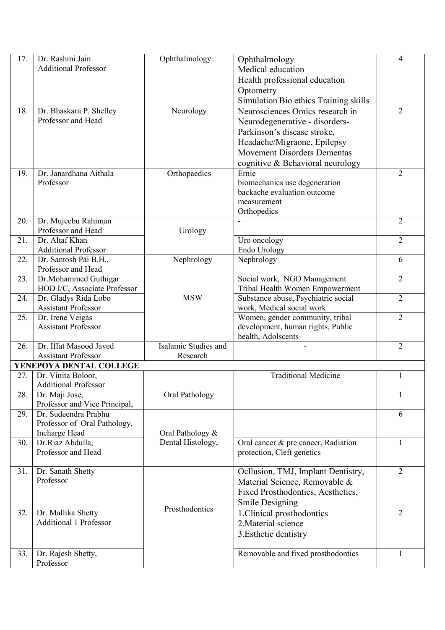| 17. | Dr. Rashmi Jain                | Ophthalmology        | Ophthalmology                             | 4              |
|-----|--------------------------------|----------------------|-------------------------------------------|----------------|
|     | <b>Additional Professor</b>    |                      | Medical education                         |                |
|     |                                |                      | Health professional education             |                |
|     |                                |                      | Optometry                                 |                |
|     |                                |                      | Simulation Bio ethics Training skills     |                |
| 18. | Dr. Bhaskara P. Shelley        | Neurology            | Neurosciences Omics research in           | $\overline{2}$ |
|     | Professor and Head             |                      | Neurodegenerative - disorders-            |                |
|     |                                |                      | Parkinson's disease stroke,               |                |
|     |                                |                      | Headache/Migraone, Epilepsy               |                |
|     |                                |                      | <b>Movement Disorders Dementas</b>        |                |
|     |                                |                      |                                           |                |
| 19. | Dr. Janardhana Aithala         | Orthopaedics         | cognitive & Behavioral neurology<br>Ernie | $\overline{2}$ |
|     | Professor                      |                      | biomechanics use degeneration             |                |
|     |                                |                      | backache evaluation outcome               |                |
|     |                                |                      | measurement                               |                |
|     |                                |                      | Orthopedics                               |                |
| 20. | Dr. Mujeebu Rahiman            |                      |                                           | $\overline{2}$ |
|     | Professor and Head             | Urology              |                                           |                |
| 21. | Dr. Altaf Khan                 |                      | Uro oncology                              | $\overline{2}$ |
|     | <b>Additional Professor</b>    |                      | Endo Urology                              |                |
| 22. | Dr. Santosh Pai B.H.,          | Nephrology           | Nephrology                                | 6              |
|     | Professor and Head             |                      |                                           |                |
| 23. | Dr.Mohammed Guthigar           |                      | Social work, NGO Management               | $\overline{2}$ |
|     | HOD I/C, Associate Professor   |                      | Tribal Health Women Empowerment           |                |
| 24. | Dr. Gladys Rida Lobo           | <b>MSW</b>           | Substance abuse, Psychiatric social       | $\overline{2}$ |
|     | <b>Assistant Professor</b>     |                      | work, Medical social work                 |                |
| 25. | Dr. Irene Veigas               |                      | Women, gender community, tribal           | $\overline{2}$ |
|     | <b>Assistant Professor</b>     |                      | development, human rights, Public         |                |
|     |                                |                      | health, Adolscents                        |                |
| 26. | Dr. Iffat Masood Javed         | Isalamic Studies and |                                           | $\overline{2}$ |
|     | <b>Assistant Professor</b>     | Research             |                                           |                |
|     | YENEPOYA DENTAL COLLEGE        |                      |                                           |                |
| 27. | Dr. Vinita Boloor,             |                      | <b>Traditional Medicine</b>               | $\mathbf{1}$   |
|     | <b>Additional Professor</b>    |                      |                                           |                |
| 28. | Dr. Maji Jose,                 | Oral Pathology       |                                           | 1              |
|     | Professor and Vice Principal,  |                      |                                           |                |
| 29. | Dr. Sudeendra Prabhu           |                      |                                           | 6              |
|     | Professor of Oral Pathology,   |                      |                                           |                |
|     | Incharge Head                  | Oral Pathology &     |                                           |                |
| 30. | Dr.Riaz Abdulla,               | Dental Histology,    | Oral cancer & pre cancer, Radiation       | 1              |
|     | Professor and Head             |                      | protection, Cleft genetics                |                |
|     |                                |                      |                                           |                |
| 31. | Dr. Sanath Shetty<br>Professor |                      | Ocllusion, TMJ, Implant Dentistry,        | $\overline{2}$ |
|     |                                |                      | Material Science, Removable &             |                |
|     |                                |                      | Fixed Prosthodontics, Aesthetics,         |                |
|     |                                | Prosthodontics       | <b>Smile Designing</b>                    |                |
| 32. | Dr. Mallika Shetty             |                      | 1. Clinical prosthodontics                | $\overline{2}$ |
|     | <b>Additional 1 Professor</b>  |                      | 2. Material science                       |                |
|     |                                |                      | 3. Esthetic dentistry                     |                |
|     |                                |                      |                                           |                |
| 33. | Dr. Rajesh Shetty,             |                      | Removable and fixed prosthodontics        | $\mathbf{1}$   |
|     | Professor                      |                      |                                           |                |